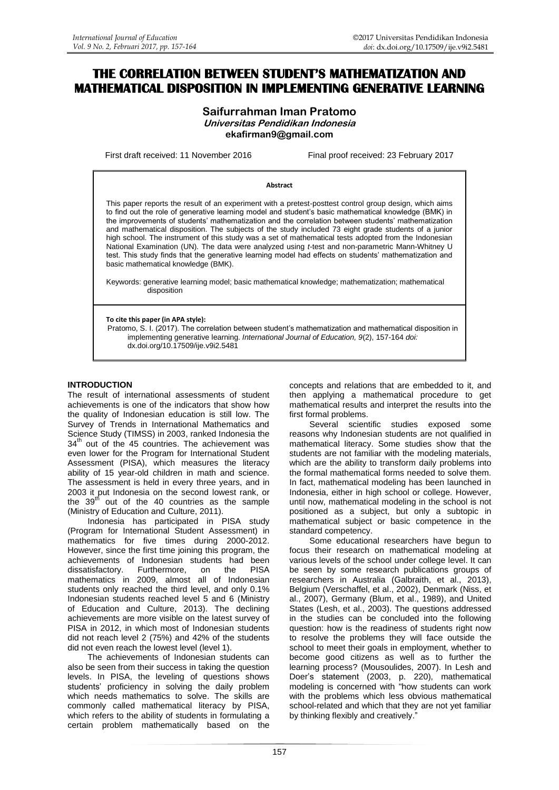# **THE CORRELATION BETWEEN STUDENT'S MATHEMATIZATION AND MATHEMATICAL DISPOSITION IN IMPLEMENTING GENERATIVE LEARNING**

# **Saifurrahman Iman Pratomo Universitas Pendidikan Indonesia ekafirman9@gmail.com**

First draft received: 11 November 2016 Final proof received: 23 February 2017

#### **Abstract**

This paper reports the result of an experiment with a pretest-posttest control group design, which aims to find out the role of generative learning model and student's basic mathematical knowledge (BMK) in the improvements of students' mathematization and the correlation between students' mathematization and mathematical disposition. The subjects of the study included 73 eight grade students of a junior high school. The instrument of this study was a set of mathematical tests adopted from the Indonesian National Examination (UN). The data were analyzed using *t*-test and non-parametric Mann-Whitney U test. This study finds that the generative learning model had effects on students' mathematization and basic mathematical knowledge (BMK).

Keywords: generative learning model; basic mathematical knowledge; mathematization; mathematical disposition

**To cite this paper (in APA style):**

Pratomo, S. I. (2017). The correlation between student's mathematization and mathematical disposition in implementing generative learning. *International Journal of Education, 9*(2), 157-164 *doi:*  [dx.doi.org/10.17509/ije.v9i2.5481](http://dx.doi.org/10.17509/ije.v9i2.5481)

### **INTRODUCTION**

The result of international assessments of student achievements is one of the indicators that show how the quality of Indonesian education is still low. The Survey of Trends in International Mathematics and Science Study (TIMSS) in 2003, ranked Indonesia the 34<sup>th</sup> out of the 45 countries. The achievement was even lower for the Program for International Student Assessment (PISA), which measures the literacy ability of 15 year-old children in math and science. The assessment is held in every three years, and in 2003 it put Indonesia on the second lowest rank, or the  $39<sup>th</sup>$  out of the 40 countries as the sample (Ministry of Education and Culture, 2011).

Indonesia has participated in PISA study (Program for International Student Assessment) in mathematics for five times during 2000-2012. However, since the first time joining this program, the achievements of Indonesian students had been<br>dissatisfactory. Furthermore, on the PISA dissatisfactory. Furthermore, on the mathematics in 2009, almost all of Indonesian students only reached the third level, and only 0.1% Indonesian students reached level 5 and 6 (Ministry of Education and Culture, 2013). The declining achievements are more visible on the latest survey of PISA in 2012, in which most of Indonesian students did not reach level 2 (75%) and 42% of the students did not even reach the lowest level (level 1).

The achievements of Indonesian students can also be seen from their success in taking the question levels. In PISA, the leveling of questions shows students' proficiency in solving the daily problem which needs mathematics to solve. The skills are commonly called mathematical literacy by PISA, which refers to the ability of students in formulating a certain problem mathematically based on the concepts and relations that are embedded to it, and then applying a mathematical procedure to get mathematical results and interpret the results into the first formal problems.

Several scientific studies exposed some reasons why Indonesian students are not qualified in mathematical literacy. Some studies show that the students are not familiar with the modeling materials, which are the ability to transform daily problems into the formal mathematical forms needed to solve them. In fact, mathematical modeling has been launched in Indonesia, either in high school or college. However, until now, mathematical modeling in the school is not positioned as a subject, but only a subtopic in mathematical subject or basic competence in the standard competency.

Some educational researchers have begun to focus their research on mathematical modeling at various levels of the school under college level. It can be seen by some research publications groups of researchers in Australia (Galbraith, et al., 2013), Belgium (Verschaffel, et al., 2002), Denmark (Niss, et al., 2007), Germany (Blum, et al., 1989), and United States (Lesh, et al., 2003). The questions addressed in the studies can be concluded into the following question: how is the readiness of students right now to resolve the problems they will face outside the school to meet their goals in employment, whether to become good citizens as well as to further the learning process? (Mousoulides, 2007). In Lesh and Doer's statement (2003, p. 220), mathematical modeling is concerned with "how students can work with the problems which less obvious mathematical school-related and which that they are not yet familiar by thinking flexibly and creatively.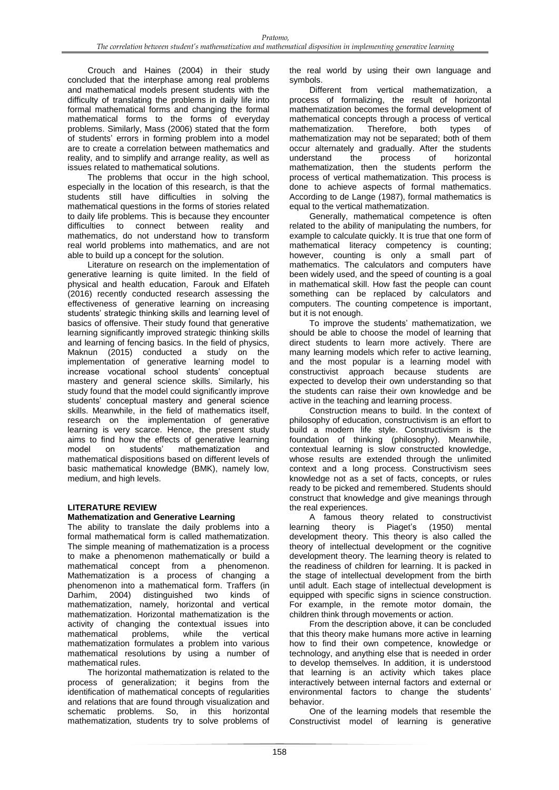Crouch and Haines (2004) in their study concluded that the interphase among real problems and mathematical models present students with the difficulty of translating the problems in daily life into formal mathematical forms and changing the formal mathematical forms to the forms of everyday problems. Similarly, Mass (2006) stated that the form of students' errors in forming problem into a model are to create a correlation between mathematics and reality, and to simplify and arrange reality, as well as issues related to mathematical solutions.

The problems that occur in the high school. especially in the location of this research, is that the students still have difficulties in solving the mathematical questions in the forms of stories related to daily life problems. This is because they encounter difficulties to connect between reality and mathematics, do not understand how to transform real world problems into mathematics, and are not able to build up a concept for the solution.

Literature on research on the implementation of generative learning is quite limited. In the field of physical and health education, Farouk and Elfateh (2016) recently conducted research assessing the effectiveness of generative learning on increasing students' strategic thinking skills and learning level of basics of offensive. Their study found that generative learning significantly improved strategic thinking skills and learning of fencing basics. In the field of physics, Maknun (2015) conducted a study on the implementation of generative learning model to increase vocational school students' conceptual mastery and general science skills. Similarly, his study found that the model could significantly improve students' conceptual mastery and general science skills. Meanwhile, in the field of mathematics itself, research on the implementation of generative learning is very scarce. Hence, the present study aims to find how the effects of generative learning model on students' mathematization and mathematical dispositions based on different levels of basic mathematical knowledge (BMK), namely low, medium, and high levels.

# **LITERATURE REVIEW**

# **Mathematization and Generative Learning**

The ability to translate the daily problems into a formal mathematical form is called mathematization. The simple meaning of mathematization is a process to make a phenomenon mathematically or build a mathematical concept from a phenomenon. Mathematization is a process of changing a phenomenon into a mathematical form. Traffers (in Darhim, 2004) distinguished two kinds of mathematization, namely, horizontal and vertical mathematization. Horizontal mathematization is the activity of changing the contextual issues into mathematical problems, while the vertical mathematization formulates a problem into various mathematical resolutions by using a number of mathematical rules.

The horizontal mathematization is related to the process of generalization; it begins from the identification of mathematical concepts of regularities and relations that are found through visualization and schematic problems. So, in this horizontal mathematization*,* students try to solve problems of

the real world by using their own language and symbols.

Different from vertical mathematization, a process of formalizing, the result of horizontal mathematization becomes the formal development of mathematical concepts through a process of vertical mathematization. Therefore, both types of mathematization may not be separated; both of them occur alternately and gradually. After the students<br>understand the process of horizontal understand the process of horizontal mathematization, then the students perform the process of vertical mathematization. This process is done to achieve aspects of formal mathematics. According to de Lange (1987), formal mathematics is equal to the vertical mathematization.

Generally, mathematical competence is often related to the ability of manipulating the numbers, for example to calculate quickly. It is true that one form of mathematical literacy competency is counting; however, counting is only a small part of mathematics. The calculators and computers have been widely used, and the speed of counting is a goal in mathematical skill. How fast the people can count something can be replaced by calculators and computers. The counting competence is important, but it is not enough.

To improve the students' mathematization, we should be able to choose the model of learning that direct students to learn more actively. There are many learning models which refer to active learning, and the most popular is a learning model with constructivist approach because students are expected to develop their own understanding so that the students can raise their own knowledge and be active in the teaching and learning process.

Construction means to build. In the context of philosophy of education, constructivism is an effort to build a modern life style. Constructivism is the foundation of thinking (philosophy). Meanwhile, contextual learning is slow constructed knowledge, whose results are extended through the unlimited context and a long process. Constructivism sees knowledge not as a set of facts, concepts, or rules ready to be picked and remembered. Students should construct that knowledge and give meanings through the real experiences.

A famous theory related to constructivist learning theory is Piaget's (1950) mental development theory. This theory is also called the theory of intellectual development or the cognitive development theory. The learning theory is related to the readiness of children for learning. It is packed in the stage of intellectual development from the birth until adult. Each stage of intellectual development is equipped with specific signs in science construction. For example, in the remote motor domain, the children think through movements or action.

From the description above, it can be concluded that this theory make humans more active in learning how to find their own competence, knowledge or technology, and anything else that is needed in order to develop themselves. In addition, it is understood that learning is an activity which takes place interactively between internal factors and external or environmental factors to change the students' behavior.

One of the learning models that resemble the Constructivist model of learning is generative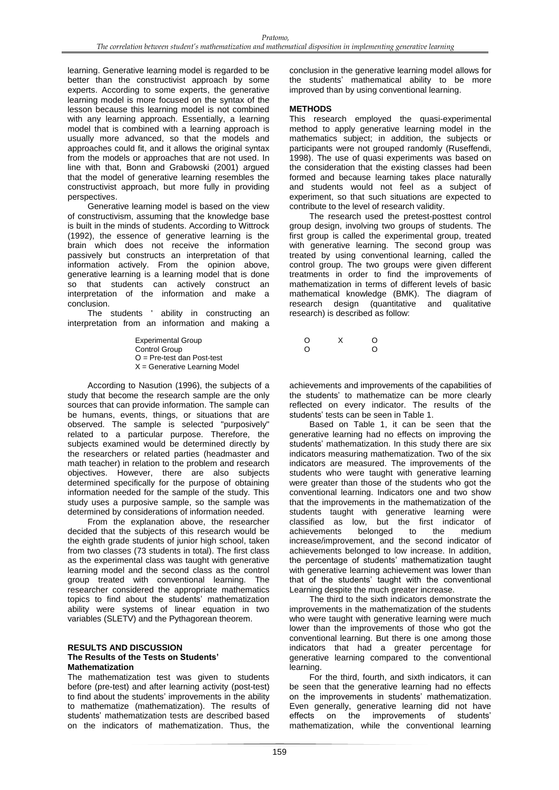learning. Generative learning model is regarded to be better than the constructivist approach by some experts. According to some experts, the generative learning model is more focused on the syntax of the lesson because this learning model is not combined with any learning approach. Essentially, a learning model that is combined with a learning approach is usually more advanced, so that the models and approaches could fit, and it allows the original syntax from the models or approaches that are not used. In line with that, Bonn and Grabowski (2001) argued that the model of generative learning resembles the constructivist approach, but more fully in providing perspectives.

Generative learning model is based on the view of constructivism, assuming that the knowledge base is built in the minds of students. According to Wittrock (1992), the essence of generative learning is the brain which does not receive the information passively but constructs an interpretation of that information actively. From the opinion above, generative learning is a learning model that is done so that students can actively construct an interpretation of the information and make a conclusion.

The students ' ability in constructing an interpretation from an information and making a

> Experimental Group  $\begin{array}{ccc}\n\text{Cortrol Groun} & \text{O} & \text{X} & \text{O} \\
> \text{Cortrol Groun} & \text{O} & \text{O} & \text{O}\n\end{array}$ Control Group O = Pre-test dan Post-test  $X =$  Generative Learning Model

According to Nasution (1996), the subjects of a study that become the research sample are the only sources that can provide information. The sample can be humans, events, things, or situations that are observed. The sample is selected "purposively" related to a particular purpose. Therefore, the subjects examined would be determined directly by the researchers or related parties (headmaster and math teacher) in relation to the problem and research objectives. However, there are also subjects determined specifically for the purpose of obtaining information needed for the sample of the study. This study uses a purposive sample, so the sample was determined by considerations of information needed.

From the explanation above, the researcher decided that the subjects of this research would be the eighth grade students of junior high school, taken from two classes (73 students in total). The first class as the experimental class was taught with generative learning model and the second class as the control group treated with conventional learning. The researcher considered the appropriate mathematics topics to find about the students' mathematization ability were systems of linear equation in two variables (SLETV) and the Pythagorean theorem.

#### **RESULTS AND DISCUSSION The Results of the Tests on Students' Mathematization**

The mathematization test was given to students before (pre-test) and after learning activity (post-test) to find about the students' improvements in the ability to mathematize (mathematization). The results of students' mathematization tests are described based on the indicators of mathematization. Thus, the conclusion in the generative learning model allows for the students' mathematical ability to be more improved than by using conventional learning.

# **METHODS**

This research employed the quasi-experimental method to apply generative learning model in the mathematics subject; in addition, the subjects or participants were not grouped randomly (Ruseffendi, 1998). The use of quasi experiments was based on the consideration that the existing classes had been formed and because learning takes place naturally and students would not feel as a subject of experiment, so that such situations are expected to contribute to the level of research validity.

The research used the pretest-posttest control group design, involving two groups of students. The first group is called the experimental group, treated with generative learning. The second group was treated by using conventional learning, called the control group. The two groups were given different treatments in order to find the improvements of mathematization in terms of different levels of basic mathematical knowledge (BMK). The diagram of research design (quantitative and qualitative research) is described as follow:

achievements and improvements of the capabilities of the students' to mathematize can be more clearly reflected on every indicator. The results of the students' tests can be seen in Table 1.

Based on Table 1, it can be seen that the generative learning had no effects on improving the students' mathematization. In this study there are six indicators measuring mathematization. Two of the six indicators are measured. The improvements of the students who were taught with generative learning were greater than those of the students who got the conventional learning. Indicators one and two show that the improvements in the mathematization of the students taught with generative learning were classified as low, but the first indicator of achievements belonged to the medium increase/improvement, and the second indicator of achievements belonged to low increase. In addition, the percentage of students' mathematization taught with generative learning achievement was lower than that of the students' taught with the conventional Learning despite the much greater increase.

The third to the sixth indicators demonstrate the improvements in the mathematization of the students who were taught with generative learning were much lower than the improvements of those who got the conventional learning. But there is one among those indicators that had a greater percentage for generative learning compared to the conventional learning.

For the third, fourth, and sixth indicators, it can be seen that the generative learning had no effects on the improvements in students' mathematization. Even generally, generative learning did not have effects on the improvements of students' mathematization, while the conventional learning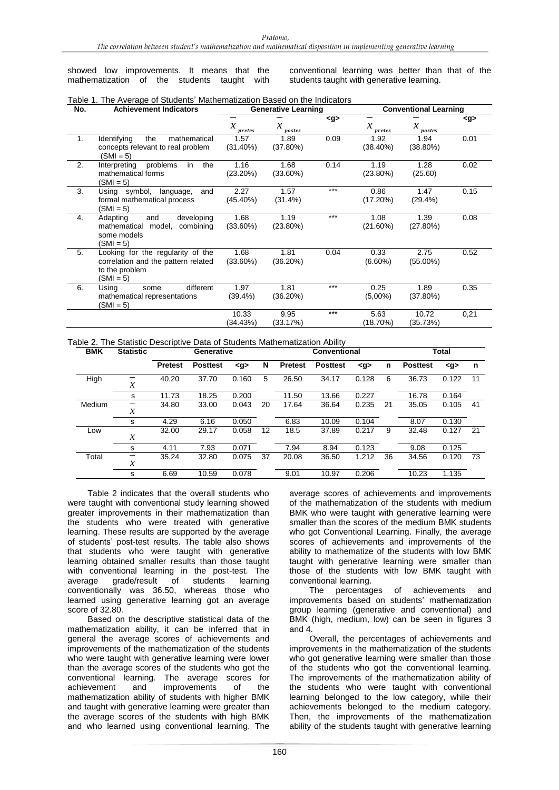showed low improvements. It means that the mathematization of the students taught with conventional learning was better than that of the students taught with generative learning.

| No. | <b>Achievement Indicators</b>                                                                             |                     | <b>Generative Learning</b> |       | <b>Conventional Learning</b>  |                               |         |
|-----|-----------------------------------------------------------------------------------------------------------|---------------------|----------------------------|-------|-------------------------------|-------------------------------|---------|
|     |                                                                                                           | $\chi$<br>pretes    | $\boldsymbol{x}$<br>postes | < g   | $\boldsymbol{\chi}$<br>pretes | $\boldsymbol{\chi}$<br>postes | <g></g> |
| 1.  | Identifying<br>the<br>mathematical<br>concepts relevant to real problem<br>$(SMI = 5)$                    | 1.57<br>$(31.40\%)$ | 1.89<br>(37.80%)           | 0.09  | 1.92<br>(38.40%)              | 1.94<br>$(38.80\%)$           | 0.01    |
| 2.  | in<br>the<br>Interpreting<br>problems<br>mathematical forms<br>$(SMI = 5)$                                | 1.16<br>$(23.20\%)$ | 1.68<br>$(33.60\%)$        | 0.14  | 1.19<br>$(23.80\%)$           | 1.28<br>(25.60)               | 0.02    |
| 3.  | Using symbol, language,<br>and<br>formal mathematical process<br>$(SMI = 5)$                              | 2.27<br>$(45.40\%)$ | 1.57<br>$(31.4\%)$         | $***$ | 0.86<br>(17.20%)              | 1.47<br>$(29.4\%)$            | 0.15    |
| 4.  | Adapting<br>and<br>developing<br>model,<br>combining<br>mathematical<br>some models<br>$(SMI = 5)$        | 1.68<br>$(33.60\%)$ | 1.19<br>$(23.80\%)$        | $***$ | 1.08<br>$(21.60\%)$           | 1.39<br>(27.80%)              | 0.08    |
| 5.  | Looking for the regularity of the<br>correlation and the pattern related<br>to the problem<br>$(SMI = 5)$ | 1.68<br>$(33.60\%)$ | 1.81<br>(36.20%)           | 0.04  | 0.33<br>$(6.60\%)$            | 2.75<br>$(55.00\%)$           | 0.52    |
| 6.  | different<br>Using<br>some<br>mathematical representations<br>$(SMI = 5)$                                 | 1.97<br>(39.4%)     | 1.81<br>(36.20%)           | $***$ | 0.25<br>$(5,00\%)$            | 1.89<br>(37.80%)              | 0.35    |
|     |                                                                                                           | 10.33<br>(34.43%)   | 9.95<br>(33.17%)           | $***$ | 5.63<br>(18.70%)              | 10.72<br>(35.73%)             | 0,21    |

Table 1. The Average of Students' Mathematization Based on the Indicators

Table 2. The Statistic Descriptive Data of Students Mathematization Ability

| <b>BMK</b> | <b>Statistic</b>           |                |                 | Generative |    |                | <b>Conventional</b> |       |    |                 | <b>Total</b> |    |  |
|------------|----------------------------|----------------|-----------------|------------|----|----------------|---------------------|-------|----|-----------------|--------------|----|--|
|            |                            | <b>Pretest</b> | <b>Posttest</b> | < g        | N  | <b>Pretest</b> | <b>Posttest</b>     | < g   | n  | <b>Posttest</b> | < g          | n  |  |
| High       |                            | 40.20          | 37.70           | 0.160      | 5  | 26.50          | 34.17               | 0.128 | 6  | 36.73           | 0.122        | 11 |  |
|            | $\boldsymbol{\mathcal{X}}$ |                |                 |            |    |                |                     |       |    |                 |              |    |  |
|            | s                          | 11.73          | 18.25           | 0.200      |    | 11.50          | 13.66               | 0.227 |    | 16.78           | 0.164        |    |  |
| Medium     | —                          | 34.80          | 33.00           | 0.043      | 20 | 17.64          | 36.64               | 0.235 | 21 | 35.05           | 0.105        | 41 |  |
|            | $\boldsymbol{\mathcal{X}}$ |                |                 |            |    |                |                     |       |    |                 |              |    |  |
|            | s                          | 4.29           | 6.16            | 0.050      |    | 6.83           | 10.09               | 0.104 |    | 8.07            | 0.130        |    |  |
| Low        |                            | 32.00          | 29.17           | 0.058      | 12 | 18.5           | 37.89               | 0.217 | 9  | 32.48           | 0.127        | 21 |  |
|            | $\boldsymbol{\mathcal{X}}$ |                |                 |            |    |                |                     |       |    |                 |              |    |  |
|            | s                          | 4.11           | 7.93            | 0.071      |    | 7.94           | 8.94                | 0.123 |    | 9.08            | 0.125        |    |  |
| Total      | —                          | 35.24          | 32.80           | 0.075      | 37 | 20.08          | 36.50               | 1.212 | 36 | 34.56           | 0.120        | 73 |  |
|            | $\boldsymbol{\mathcal{X}}$ |                |                 |            |    |                |                     |       |    |                 |              |    |  |
|            | s                          | 6.69           | 10.59           | 0.078      |    | 9.01           | 10.97               | 0.206 |    | 10.23           | 1.135        |    |  |

Table 2 indicates that the overall students who were taught with conventional study learning showed greater improvements in their mathematization than the students who were treated with generative learning. These results are supported by the average of students' post-test results. The table also shows that students who were taught with generative learning obtained smaller results than those taught with conventional learning in the post-test. The average grade/result of students learning conventionally was 36.50, whereas those who learned using generative learning got an average score of 32.80.

Based on the descriptive statistical data of the mathematization ability, it can be inferred that in general the average scores of achievements and improvements of the mathematization of the students who were taught with generative learning were lower than the average scores of the students who got the conventional learning. The average scores for achievement and improvements of the mathematization ability of students with higher BMK and taught with generative learning were greater than the average scores of the students with high BMK and who learned using conventional learning. The

average scores of achievements and improvements of the mathematization of the students with medium BMK who were taught with generative learning were smaller than the scores of the medium BMK students who got Conventional Learning. Finally, the average scores of achievements and improvements of the ability to mathematize of the students with low BMK taught with generative learning were smaller than those of the students with low BMK taught with conventional learning.

The percentages of achievements and improvements based on students' mathematization group learning (generative and conventional) and BMK (high, medium, low) can be seen in figures 3 and 4.

Overall, the percentages of achievements and improvements in the mathematization of the students who got generative learning were smaller than those of the students who got the conventional learning. The improvements of the mathematization ability of the students who were taught with conventional learning belonged to the low category, while their achievements belonged to the medium category. Then, the improvements of the mathematization ability of the students taught with generative learning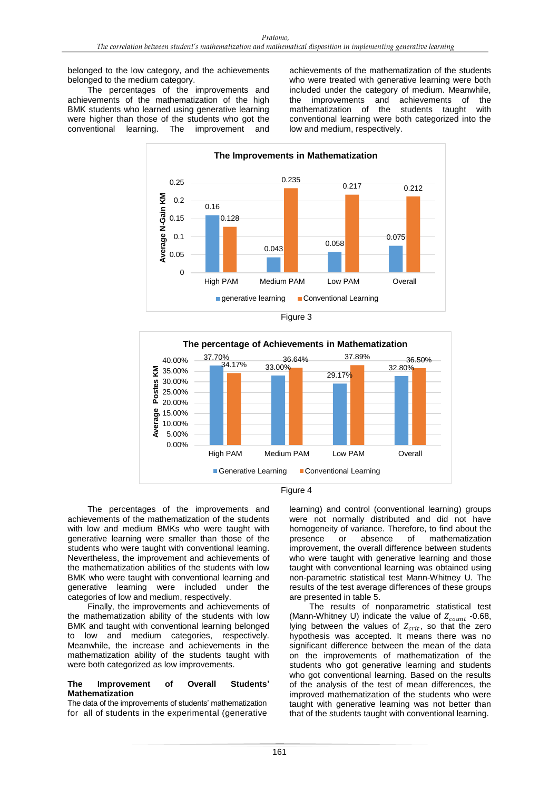belonged to the low category, and the achievements belonged to the medium category.

The percentages of the improvements and achievements of the mathematization of the high BMK students who learned using generative learning were higher than those of the students who got the conventional learning. The improvement and achievements of the mathematization of the students who were treated with generative learning were both included under the category of medium. Meanwhile, the improvements and achievements of the mathematization of the students taught with conventional learning were both categorized into the low and medium, respectively.









The percentages of the improvements and achievements of the mathematization of the students with low and medium BMKs who were taught with generative learning were smaller than those of the students who were taught with conventional learning. Nevertheless, the improvement and achievements of the mathematization abilities of the students with low BMK who were taught with conventional learning and generative learning were included under the categories of low and medium, respectively.

Finally, the improvements and achievements of the mathematization ability of the students with low BMK and taught with conventional learning belonged to low and medium categories, respectively. Meanwhile, the increase and achievements in the mathematization ability of the students taught with were both categorized as low improvements.

# **The Improvement of Overall Students' Mathematization**

The data of the improvements of students' mathematization for all of students in the experimental (generative learning) and control (conventional learning) groups were not normally distributed and did not have homogeneity of variance. Therefore, to find about the presence or absence of mathematization improvement, the overall difference between students who were taught with generative learning and those taught with conventional learning was obtained using non-parametric statistical test Mann-Whitney U. The results of the test average differences of these groups are presented in table 5.

The results of nonparametric statistical test (Mann-Whitney U) indicate the value of  $Z_{count}$  -0.68, lying between the values of  $Z_{crit}$ , so that the zero hypothesis was accepted. It means there was no significant difference between the mean of the data on the improvements of mathematization of the students who got generative learning and students who got conventional learning. Based on the results of the analysis of the test of mean differences, the improved mathematization of the students who were taught with generative learning was not better than that of the students taught with conventional learning.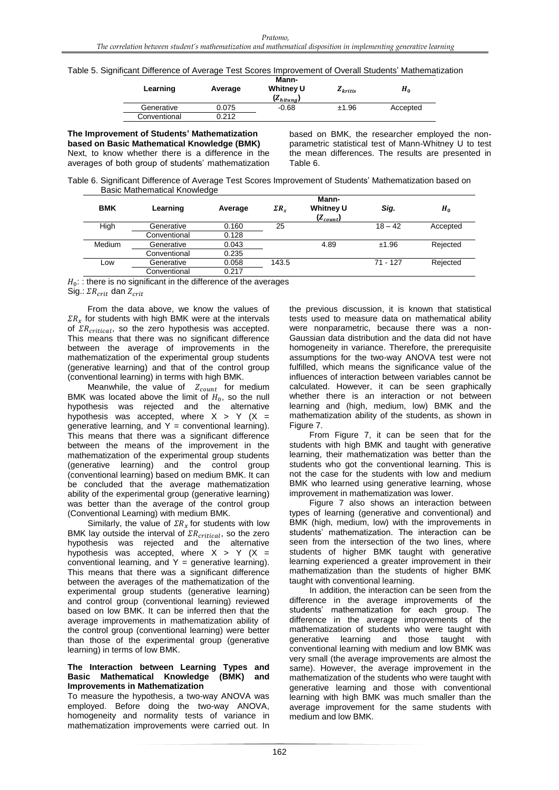|  |  | Table 5. Significant Difference of Average Test Scores Improvement of Overall Students' Mathematization |  |
|--|--|---------------------------------------------------------------------------------------------------------|--|
|  |  |                                                                                                         |  |

| Learning     | Average | Mann-<br><b>Whitney U</b><br>$(Z_{hitung})$ | $Z_{kritis}$ | $H_0$    |
|--------------|---------|---------------------------------------------|--------------|----------|
| Generative   | 0.075   | $-0.68$                                     | ±1.96        | Accepted |
| Conventional | 0.212   |                                             |              |          |

**The Improvement of Students' Mathematization based on Basic Mathematical Knowledge (BMK)** Next, to know whether there is a difference in the averages of both group of students' mathematization

based on BMK, the researcher employed the nonparametric statistical test of Mann-Whitney U to test the mean differences. The results are presented in Table 6.

Table 6. Significant Difference of Average Test Scores Improvement of Students' Mathematization based on Basic Mathematical Knowledge

| <b>BMK</b> | Learning     | Average | $\Sigma R_{\rm r}$ | Mann-<br><b>Whitney U</b><br>$(Z_{count})$ | Sig.       | $H_0$    |
|------------|--------------|---------|--------------------|--------------------------------------------|------------|----------|
| High       | Generative   | 0.160   | 25                 |                                            | $18 - 42$  | Accepted |
|            | Conventional | 0.128   |                    |                                            |            |          |
| Medium     | Generative   | 0.043   |                    | 4.89                                       | ±1.96      | Rejected |
|            | Conventional | 0.235   |                    |                                            |            |          |
| Low        | Generative   | 0.058   | 143.5              |                                            | $71 - 127$ | Rejected |
|            | Conventional | 0.217   |                    |                                            |            |          |

 $H_0$ : : there is no significant in the difference of the averages

Sig.:  $\Sigma R_{crit}$  dan  $Z_{crit}$ 

From the data above, we know the values of  $\Sigma R_r$  for students with high BMK were at the intervals of  $\sum R_{critical}$ , so the zero hypothesis was accepted. This means that there was no significant difference between the average of improvements in the mathematization of the experimental group students (generative learning) and that of the control group (conventional learning) in terms with high BMK.

Meanwhile, the value of  $Z_{count}$  for medium BMK was located above the limit of  $H_0$ , so the null hypothesis was rejected and the alternative hypothesis was accepted, where  $X > Y$  (X = generative learning, and  $Y =$  conventional learning). This means that there was a significant difference between the means of the improvement in the mathematization of the experimental group students (generative learning) and the control group (conventional learning) based on medium BMK. It can be concluded that the average mathematization ability of the experimental group (generative learning) was better than the average of the control group (Conventional Learning) with medium BMK.

Similarly, the value of  $\sum R_{x}$  for students with low BMK lay outside the interval of  $\textit{IR}_{critical}$ , so the zero hypothesis was rejected and the alternative hypothesis was accepted, where  $X > Y$  (X = conventional learning, and  $Y =$  generative learning). This means that there was a significant difference between the averages of the mathematization of the experimental group students (generative learning) and control group (conventional learning) reviewed based on low BMK. It can be inferred then that the average improvements in mathematization ability of the control group (conventional learning) were better than those of the experimental group (generative learning) in terms of low BMK.

#### **The Interaction between Learning Types and Basic Mathematical Knowledge (BMK) and Improvements in Mathematization**

To measure the hypothesis, a two-way ANOVA was employed. Before doing the two-way ANOVA, homogeneity and normality tests of variance in mathematization improvements were carried out. In

the previous discussion, it is known that statistical tests used to measure data on mathematical ability were nonparametric, because there was a non-Gaussian data distribution and the data did not have homogeneity in variance. Therefore, the prerequisite assumptions for the two-way ANOVA test were not fulfilled, which means the significance value of the influences of interaction between variables cannot be calculated. However, it can be seen graphically whether there is an interaction or not between learning and (high, medium, low) BMK and the mathematization ability of the students, as shown in Figure 7.

From Figure 7, it can be seen that for the students with high BMK and taught with generative learning, their mathematization was better than the students who got the conventional learning. This is not the case for the students with low and medium BMK who learned using generative learning, whose improvement in mathematization was lower.

Figure 7 also shows an interaction between types of learning (generative and conventional) and BMK (high, medium, low) with the improvements in students' mathematization. The interaction can be seen from the intersection of the two lines, where students of higher BMK taught with generative learning experienced a greater improvement in their mathematization than the students of higher BMK taught with conventional learning.

In addition, the interaction can be seen from the difference in the average improvements of the students' mathematization for each group. The difference in the average improvements of the mathematization of students who were taught with generative learning and those taught with conventional learning with medium and low BMK was very small (the average improvements are almost the same). However, the average improvement in the mathematization of the students who were taught with generative learning and those with conventional learning with high BMK was much smaller than the average improvement for the same students with medium and low BMK.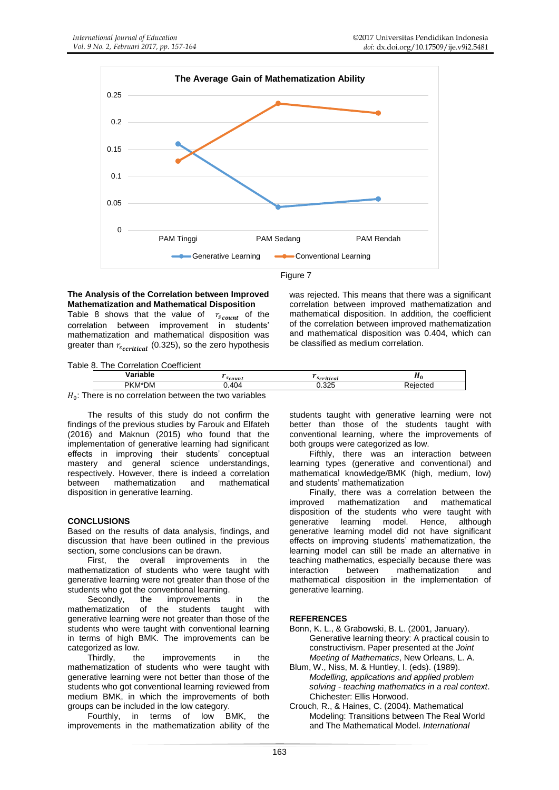

# **The Analysis of the Correlation between Improved Mathematization and Mathematical Disposition**

Table 8 shows that the value of  $r_{s_{\text{count}}}$  of the correlation between improvement in students' mathematization and mathematical disposition was greater than  $r_{scritical}$  (0.325), so the zero hypothesis was rejected. This means that there was a significant correlation between improved mathematization and mathematical disposition. In addition, the coefficient of the correlation between improved mathematization and mathematical disposition was 0.404, which can be classified as medium correlation.

Table 8. The Correlation Coefficient

|        |                                                    | <i>scouni</i> | i ilitu       | ,,, |
|--------|----------------------------------------------------|---------------|---------------|-----|
|        | PKM*DM                                             | 404           | ່ານະ<br>U.JLJ |     |
| $II$ . | There is no corrolation between the two veriables. |               |               |     |

 $H_0$ : There is no correlation between the two variables

The results of this study do not confirm the findings of the previous studies by Farouk and Elfateh (2016) and Maknun (2015) who found that the implementation of generative learning had significant effects in improving their students' conceptual mastery and general science understandings, respectively. However, there is indeed a correlation between mathematization and mathematical disposition in generative learning.

# **CONCLUSIONS**

Based on the results of data analysis, findings, and discussion that have been outlined in the previous section, some conclusions can be drawn.

First, the overall improvements in the mathematization of students who were taught with generative learning were not greater than those of the students who got the conventional learning.

Secondly, the improvements in the mathematization of the students taught with generative learning were not greater than those of the students who were taught with conventional learning in terms of high BMK. The improvements can be categorized as low.

Thirdly, the improvements in the mathematization of students who were taught with generative learning were not better than those of the students who got conventional learning reviewed from medium BMK, in which the improvements of both groups can be included in the low category.

Fourthly, in terms of low BMK, the improvements in the mathematization ability of the students taught with generative learning were not better than those of the students taught with conventional learning, where the improvements of both groups were categorized as low.

Fifthly, there was an interaction between learning types (generative and conventional) and mathematical knowledge/BMK (high, medium, low) and students' mathematization

Finally, there was a correlation between the improved mathematization and mathematical disposition of the students who were taught with generative learning model. Hence, although generative learning model did not have significant effects on improving students' mathematization, the learning model can still be made an alternative in teaching mathematics, especially because there was interaction between mathematization and mathematical disposition in the implementation of generative learning.

# **REFERENCES**

- Bonn, K. L., & Grabowski, B. L. (2001, January). Generative learning theory: A practical cousin to constructivism. Paper presented at the *Joint Meeting of Mathematics*, New Orleans, L. A.
- Blum, W., Niss, M. & Huntley, I. (eds). (1989). *Modelling, applications and applied problem solving - teaching mathematics in a real context*. Chichester: Ellis Horwood.
- Crouch, R., & Haines, C. (2004). Mathematical Modeling: Transitions between The Real World and The Mathematical Model. *International*